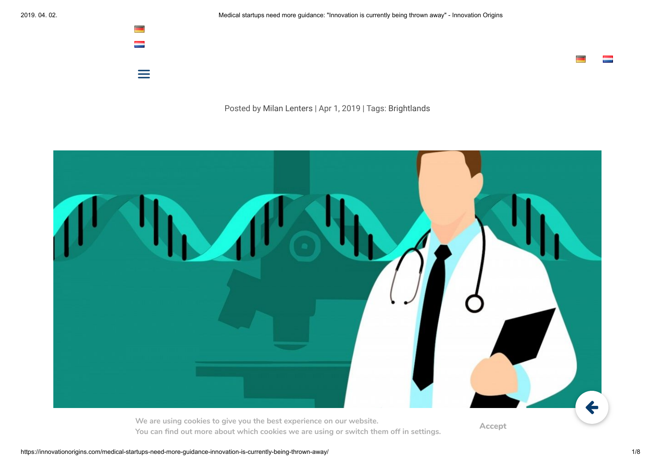$=$ 

Posted by [Milan Lenters](https://innovationorigins.com/author/milan-lenters/) | Apr 1, 2019 | Tags: [Brightlands](https://innovationorigins.com/tag/brightlands-en/)



**You can nd out more about which cookies we are using or switch them off in settings.**

**Accept**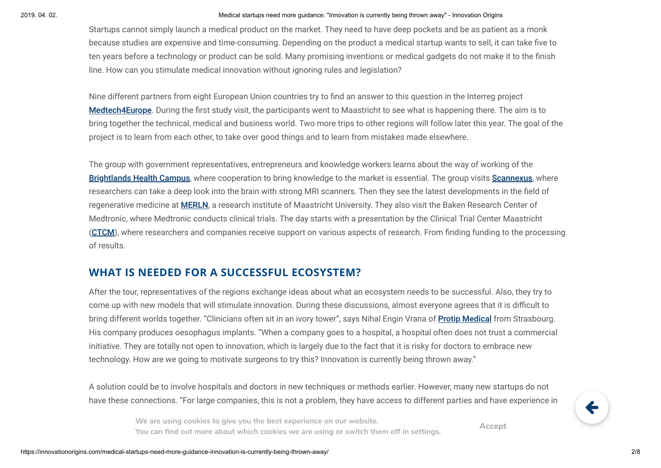#### 2019. 04. 02. Medical startups need more guidance: "Innovation is currently being thrown away" - Innovation Origins

Startups cannot simply launch a medical product on the market. They need to have deep pockets and be as patient as a monk because studies are expensive and time-consuming. Depending on the product a medical startup wants to sell, it can take five to ten years before a technology or product can be sold. Many promising inventions or medical gadgets do not make it to the finish line. How can you stimulate medical innovation without ignoring rules and legislation?

Nine different partners from eight European Union countries try to find an answer to this question in the Interreg project [Medtech4Europe](https://www.interregeurope.eu/medtech4europe/). During the first study visit, the participants went to Maastricht to see what is happening there. The aim is to bring together the technical, medical and business world. Two more trips to other regions will follow later this year. The goal of the project is to learn from each other, to take over good things and to learn from mistakes made elsewhere.

The group with government representatives, entrepreneurs and knowledge workers learns about the way of working of the [Brightlands Health Campus](https://www.brightlands.com/brightlands-maastricht-health-campus), where cooperation to bring knowledge to the market is essential. The group visits [Scannexus](https://innovationorigins.com/scannexus-dive-deeper-into-the-brain-with-mri/), where researchers can take a deep look into the brain with strong MRI scanners. Then they see the latest developments in the field of regenerative medicine at [MERLN](https://www.maastrichtuniversity.nl/research/institute-technology-inspired-regenerative-medicine), a research institute of Maastricht University. They also visit the Baken Research Center of Medtronic, where Medtronic conducts clinical trials. The day starts with a presentation by the Clinical Trial Center Maastricht ([CTCM](http://www.ctcm.nl/)), where researchers and companies receive support on various aspects of research. From finding funding to the processing of results.

# **WHAT IS NEEDED FOR A SUCCESSFUL ECOSYSTEM?**

After the tour, representatives of the regions exchange ideas about what an ecosystem needs to be successful. Also, they try to come up with new models that will stimulate innovation. During these discussions, almost everyone agrees that it is difficult to bring different worlds together. "Clinicians often sit in an ivory tower", says Nihal Engin Vrana of **[Protip Medical](http://protipmedical.com/)** from Strasbourg. His company produces oesophagus implants. "When a company goes to a hospital, a hospital often does not trust a commercial initiative. They are totally not open to innovation, which is largely due to the fact that it is risky for doctors to embrace new technology. How are we going to motivate surgeons to try this? Innovation is currently being thrown away."

A solution could be to involve hospitals and doctors in new techniques or methods earlier. However, many new startups do not have these connections. "For large companies, this is not a problem, they have access to different parties and have experience in

**Example 200 Accept** Accept 200 Accept 200 Accept 200 Accept 200 Accept 200 Accept 200 Accept 200 Accept 200 Accept 200 Accept 200 Accept 200 Accept 200 Accept 200 Accept 200 Accept 200 Accept 200 Accept 200 Accept 200 Acc **We are using cookies to give you the best experience on our website.**

**Accept**

 $\leftarrow$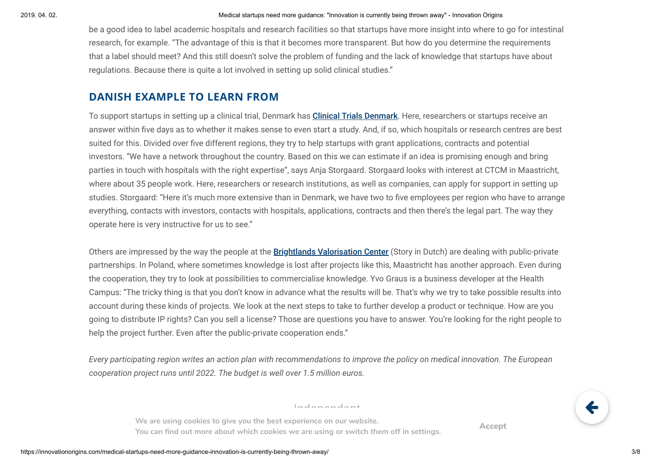be a good idea to label academic hospitals and research facilities so that startups have more insight into where to go for intestinal research, for example. "The advantage of this is that it becomes more transparent. But how do you determine the requirements that a label should meet? And this still doesn't solve the problem of funding and the lack of knowledge that startups have about regulations. Because there is quite a lot involved in setting up solid clinical studies."

# **DANISH EXAMPLE TO LEARN FROM**

To support startups in setting up a clinical trial, Denmark has **[Clinical Trials Denmark](https://clinicaltrialsdenmark.com/)**. Here, researchers or startups receive an answer within five days as to whether it makes sense to even start a study. And, if so, which hospitals or research centres are best suited for this. Divided over five different regions, they try to help startups with grant applications, contracts and potential investors. "We have a network throughout the country. Based on this we can estimate if an idea is promising enough and bring parties in touch with hospitals with the right expertise", says Anja Storgaard. Storgaard looks with interest at CTCM in Maastricht, where about 35 people work. Here, researchers or research institutions, as well as companies, can apply for support in setting up studies. Storgaard: "Here it's much more extensive than in Denmark, we have two to five employees per region who have to arrange everything, contacts with investors, contacts with hospitals, applications, contracts and then there's the legal part. The way they operate here is very instructive for us to see."

Others are impressed by the way the people at the **[Brightlands Valorisation Center](https://innovationorigins.com/nl/van-idee-tot-product-hoe-werkt-dit-in-maastricht/)** (Story in Dutch) are dealing with public-private partnerships. In Poland, where sometimes knowledge is lost after projects like this, Maastricht has another approach. Even during the cooperation, they try to look at possibilities to commercialise knowledge. Yvo Graus is a business developer at the Health Campus: "The tricky thing is that you don't know in advance what the results will be. That's why we try to take possible results into account during these kinds of projects. We look at the next steps to take to further develop a product or technique. How are you going to distribute IP rights? Can you sell a license? Those are questions you have to answer. You're looking for the right people to help the project further. Even after the public-private cooperation ends."

*Every participating region writes an action plan with recommendations to improve the policy on medical innovation. The European cooperation project runs until 2022. The budget is well over 1.5 million euros.*

Independent

**We are using cookies to give you the best experience on our website. You can nd out more about which cookies we are using or switch them off in settings.**

**Accept**

 $\leftarrow$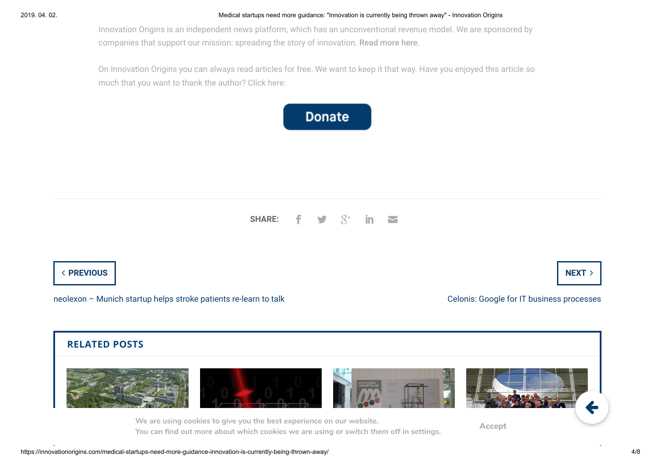#### 2019. 04. 02. Medical startups need more guidance: "Innovation is currently being thrown away" - Innovation Origins

Innovation Origins is an independent news platform, which has an unconventional revenue model. We are sponsored by companies that support our mission: spreading the story of innovation. [Read more here](https://innovationorigins.com/independent/).

On Innovation Origins you can always read articles for free. We want to keep it that way. Have you enjoyed this article so much that you want to thank the author? Click here:



#### **SHARE:**  $8^+$  in

## $\longleftarrow$  PREVIOUS  $\longleftarrow$  NEXT  $\rightarrow$

[neolexon – Munich startup helps stroke patients re-learn to talk](https://innovationorigins.com/neolexon-munich-startup-stroke-patients-talk/) [Celonis: Google for IT business processes](https://innovationorigins.com/celonis-google-for-it-business-processes/)